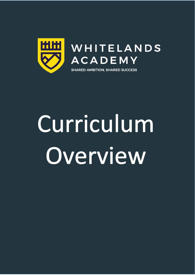

# Curriculum Overview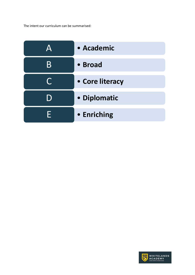The intent our curriculum can be summarised:

|           | • Academic      |  |  |  |
|-----------|-----------------|--|--|--|
| B         | • Broad         |  |  |  |
| $\bigcap$ | • Core literacy |  |  |  |
| l )       | • Diplomatic    |  |  |  |
| н         | • Enriching     |  |  |  |

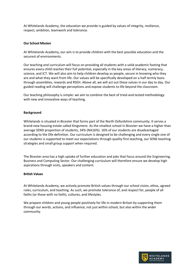At Whitelands Academy, the education we provide is guided by values of integrity, resilience, respect, ambition, teamwork and tolerance.

### **Our School Mission**

At Whitelands Academy, our aim is to provide children with the best possible education and the securest of environments.

Our teaching and curriculum will focus on providing all students with a solid academic footing that ensures every child reaches their full potential, especially in the key areas of literacy, numeracy, science, and ICT. We will also aim to help children develop as people, secure in knowing who they are and what they want from life. Our values will be specifically developed on a half termly basis through assemblies, rewards and RSEH. Above all, we will act out these values in our day to day. Our guided reading will challenge perceptions and expose students to life beyond the classroom.

Our teaching philosophy is simple: we aim to combine the best of tried-and-tested methodology with new and innovative ways of teaching.

#### **Background**

Whitelands is situated in Bicester that forms part of the North Oxfordshire community. It serves a brand-new housing estate called Kingsmere. As the smallest school in Bicester we have a higher than average SEND proportion of students, 34% (NA16%). 16% of our students are disadvantaged according to the Dfe definition. Our curriculum is designed to be challenging and every single one of our students is supported to meet our expectations through quality first teaching, our SEN6 teaching strategies and small group support when required.

The Bicester area has a high uptake of further education and jobs that focus around the Engineering, Business and Computing Sector. Our challenging curriculum will therefore ensure we develop high aspirations through visits, speakers and content.

#### **British Values**

At Whitelands Academy, we actively promote British values through our school vision, ethos, agreed rules, curriculum, and teaching. As such, we promote tolerance of, and respect for, people of all faiths (or those with no faith), cultures, and lifestyles.

We prepare children and young people positively for life in modern Britain by supporting them through our words, actions, and influence, not just within school, but also within the wider community.

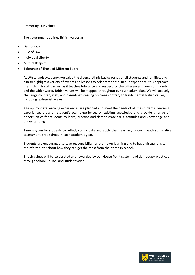### **Promoting Our Values**

The government defines British values as:

- Democracy
- Rule of Law
- Individual Liberty
- Mutual Respect
- Tolerance of Those of Different Faiths

At Whitelands Academy, we value the diverse ethnic backgrounds of all students and families, and aim to highlight a variety of events and lessons to celebrate these. In our experience, this approach is enriching for all parties, as it teaches tolerance and respect for the differences in our community and the wider world. British values will be mapped throughout our curriculum plan. We will actively challenge children, staff, and parents expressing opinions contrary to fundamental British values, including 'extremist' views.

Age appropriate learning experiences are planned and meet the needs of all the students. Learning experiences draw on student's own experiences or existing knowledge and provide a range of opportunities for students to learn, practice and demonstrate skills, attitudes and knowledge and understanding.

Time is given for students to reflect, consolidate and apply their learning following each summative assessment, three times in each academic year.

Students are encouraged to take responsibility for their own learning and to have discussions with their form tutor about how they can get the most from their time in school.

British values will be celebrated and rewarded by our House Point system and democracy practiced through School Council and student voice.

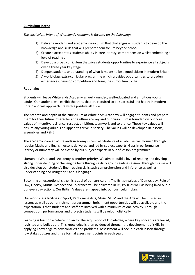## **Curriculum Intent**

*The curriculum intent of Whitelands Academy is focused on the following:*

- 1) Deliver a modern and academic curriculum that challenges all students to develop the knowledge and skills that will prepare them for life beyond school.
- 2) Create a accelerates students ability in core literacy, comprehension whilst embedding a love of reading .
- 3) Develop a broad curriculum that gives students opportunities to experience all subjects over a three year key stage 3.
- 4) Deepen students understanding of what it means to be a good citizen in modern Britain.
- 5) A world-class extra-curricular programme which provides opportunities to broaden experiences, develop competition and bring the curriculum to life.

# **Rationale:**

Students will leave Whitelands Academy as well-rounded, well-educated and ambitious young adults. Our students will exhibit the traits that are required to be successful and happy in modern Britain and will approach life with a positive attitude.

The breadth and depth of the curriculum at Whitelands Academy will engage students and prepare them for their future. Character and Culture are key and our curriculum is founded on our core values of integrity, resilience, respect, ambition, teamwork and tolerance. These key values will ensure any young adult is equipped to thrive in society. The values will be developed in lessons, assemblies and PSHE

The academic core at Whitelands Academy is central. Students of all abilities will flourish through regular Maths and English lessons delivered and led by subject experts. Gaps in performance in literacy or numeracy will be closed by our subject experts in out of lesson programmes.

Literacy at Whitelands Academy is another priority. We aim to build a love of reading and develop a strong understanding of challenging texts through a daily group reading session. Through this we will also develop our student's finer reading skills such comprehension and inference as well as understanding and using tier 2 and 3 language.

Becoming an exceptional citizen is a goal of our curriculum. The British values of Democracy, Rule of Law, Liberty, Mutual Respect and Tolerance will be delivered in RS, PSHE as well as being lived out in our everyday actions. Our British Values are mapped into our curriculum plan.

Our world class facilities in Sport, Performing Arts, Music, STEM and the Arts will be utilised in lessons as well as our enrichment programme. Enrichment opportunities will be available and the expectation is that students and staff are involved with a minimum of one activity. Through competition, performances and projects students will develop holistically.

Learning is built on a coherent plan for the acquisition of knowledge; where key concepts are learnt, revisited and built upon. This knowledge is then evidenced through the development of skills in applying knowledge to new contexts and problems. Assessment will occur in each lesson through low stakes quizzes and three formal assessment points in each year.

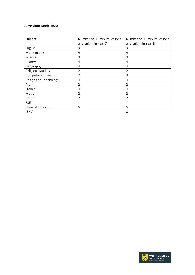## **Curriculum Model KS3:**

| Subject               | Number of 50-minute lessons | Number of 50-minute lessons |  |
|-----------------------|-----------------------------|-----------------------------|--|
|                       | a fortnight in Year 7       | a fortnight in Year 8       |  |
| English               | 9                           | 9                           |  |
| <b>Mathematics</b>    | 9                           | 9                           |  |
| Science               | 9                           | 9                           |  |
| History               | 4                           | 4                           |  |
| Geography             | 4                           | 4                           |  |
| Religious Studies     | $\overline{2}$              | 2                           |  |
| Computer studies      | $\overline{2}$              | 3                           |  |
| Design and Technology | 4                           | 4                           |  |
| Art                   | 2                           | $\overline{2}$              |  |
| French                | 4                           | 4                           |  |
| Music                 | $\overline{2}$              | 2                           |  |
| Drama                 | $\overline{2}$              | $\overline{2}$              |  |
| <b>RSE</b>            | 1                           | $\mathbf 1$                 |  |
| Physical Education    | 5                           | 5                           |  |
| LEXIA                 |                             | $\overline{0}$              |  |

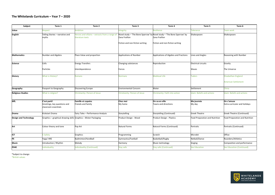#### **The Whitelands Curriculum – Year 7 – 2020**

| Subject                      | Term 1                                                               | Term 2                                                             | Term 3                                           | Term 4                                                                                                                      | Term 5                              | Term 6                                      |
|------------------------------|----------------------------------------------------------------------|--------------------------------------------------------------------|--------------------------------------------------|-----------------------------------------------------------------------------------------------------------------------------|-------------------------------------|---------------------------------------------|
| Value                        | Respect                                                              | <b>Ambition</b>                                                    | ntegrity                                         | Resilience                                                                                                                  | <b>Folerance</b>                    | Feam work                                   |
| <b>English</b>               | Telling Stories - narrative and<br>myths                             | Heroes and villains - extracts from a range of<br>literature texts | Zana Fraillon<br>Fiction and non-fiction writing | Novel study - 'The Bone Sparrow' by Novel study - 'The Bone Sparrow' by<br>Zana Fraillon<br>Fiction and non-fiction writing | Shakespeare                         | Shakespeare                                 |
| <b>Mathematics</b>           | Number and Algebra                                                   | Place Value and proportion                                         | <b>Applications of Number</b>                    | Applications of Algebra and Fractions                                                                                       | Lines and Angles                    | Reasoning with Number                       |
| Science                      | Cells<br>Particles                                                   | <b>Energy Transfers</b><br>Interdependence                         | Changing substances<br>Forces                    | Reproduction                                                                                                                | <b>Electrical circuits</b><br>Waves | Gravity<br>The Universe                     |
| <b>History</b>               | What is History?                                                     | Romans                                                             | <b>Normans</b>                                   | <b>Medieval Life</b>                                                                                                        | <b>Tudors</b>                       | Elizabethan England<br>American Settlement  |
| Geography                    | Passport to Geography                                                | Discovering Europe                                                 | <b>Environmental Concern</b>                     | Water                                                                                                                       | Settlement                          | China                                       |
| <b>Religious Studies</b>     | What is religion?                                                    | Christianity: Person of Jesus                                      | Christianity: Person of Jesus                    | Christianity: Faith into action                                                                                             | slam: Beliefs and actions           | Islam: Beliefs and actions                  |
| <b>MfL</b>                   | C'est parti!<br>Greetings, key questions and<br>classroom essentials | <b>Famille et copains</b><br>Friends and family                    | Chez moi<br>My home                              | On va en ville<br>Towns and directions                                                                                      | Ma journée<br>My day                | On s'amuse<br>Extra-curricular and holidays |
| Drama                        | Kickstart Drama                                                      | Fairy Tales - Performance Analysis                                 | Storytelling                                     | Storytelling (Continued)                                                                                                    | <b>Greek Theatre</b>                | Greek Theatre (Continued)                   |
| <b>Design and Technology</b> | Graphics - graphical drawing skills Graphics - Blister Packaging     |                                                                    | Product Design - Wood                            | Product Design - Plastics                                                                                                   | Food Preparation and Nutrition      | Food Preparation and Nutrition              |
| Art                          | Colour theory and tone                                               | Pop Art                                                            | <b>Natural Forms</b>                             | Natural Forms (Continued)                                                                                                   | Portraits                           | Portraits (Continued)                       |
| ICT                          | E-Safety                                                             | Graphics                                                           | Programming                                      | Scratch                                                                                                                     | Microbit                            | Office                                      |
| PE                           | Yoga/HRE                                                             | Badminton/Handball                                                 | Gymnastics/Football                              | Basketball/Rugby                                                                                                            | Netball/Dance                       | Rounders/Athletics                          |
| <b>Music</b>                 | Introduction / Rhythm                                                | Melody                                                             | Harmony                                          | Music technology                                                                                                            | Singing                             | Composition and performance                 |
| <b>PSHE</b>                  | ndividuality                                                         | Individuality (Continued)                                          | Stay safe                                        | <b>Stay safe (Continued)</b>                                                                                                | Sex Education                       | Sex Education (Continued)                   |

\*Subject to change \*British values